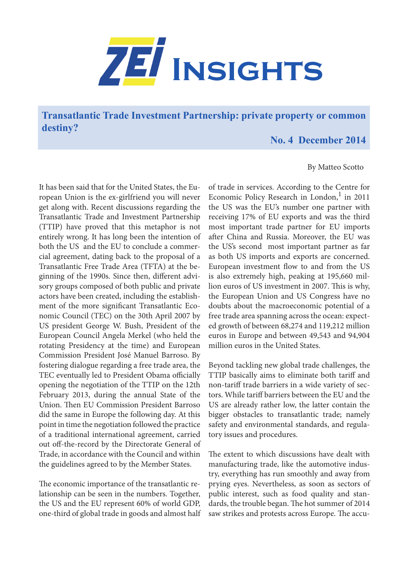

**Transatlantic Trade Investment Partnership: private property or common destiny?**

## **No. 4 December 2014**

## By Matteo Scotto

It has been said that for the United States, the European Union is the ex-girlfriend you will never get along with. Recent discussions regarding the Transatlantic Trade and Investment Partnership (TTIP) have proved that this metaphor is not entirely wrong. It has long been the intention of both the US and the EU to conclude a commercial agreement, dating back to the proposal of a Transatlantic Free Trade Area (TFTA) at the beginning of the 1990s. Since then, different advisory groups composed of both public and private actors have been created, including the establishment of the more significant Transatlantic Economic Council (TEC) on the 30th April 2007 by US president George W. Bush, President of the European Council Angela Merkel (who held the rotating Presidency at the time) and European Commission President José Manuel Barroso. By fostering dialogue regarding a free trade area, the TEC eventually led to President Obama officially opening the negotiation of the TTIP on the 12th February 2013, during the annual State of the Union. Then EU Commission President Barroso did the same in Europe the following day. At this point in time the negotiation followed the practice of a traditional international agreement, carried out off-the-record by the Directorate General of Trade, in accordance with the Council and within the guidelines agreed to by the Member States.

The economic importance of the transatlantic relationship can be seen in the numbers. Together, the US and the EU represent 60% of world GDP, one-third of global trade in goods and almost half

of trade in services. According to the Centre for Economic Policy Research in London,<sup>1</sup> in 2011 the US was the EU's number one partner with receiving 17% of EU exports and was the third most important trade partner for EU imports after China and Russia. Moreover, the EU was the US's second most important partner as far as both US imports and exports are concerned. European investment flow to and from the US is also extremely high, peaking at 195,660 million euros of US investment in 2007. This is why, the European Union and US Congress have no doubts about the macroeconomic potential of a free trade area spanning across the ocean: expected growth of between 68,274 and 119,212 million euros in Europe and between 49,543 and 94,904 million euros in the United States.

Beyond tackling new global trade challenges, the TTIP basically aims to eliminate both tariff and non-tariff trade barriers in a wide variety of sectors. While tariff barriers between the EU and the US are already rather low, the latter contain the bigger obstacles to transatlantic trade; namely safety and environmental standards, and regulatory issues and procedures.

The extent to which discussions have dealt with manufacturing trade, like the automotive industry, everything has run smoothly and away from prying eyes. Nevertheless, as soon as sectors of public interest, such as food quality and standards, the trouble began. The hot summer of 2014 saw strikes and protests across Europe. The accu-